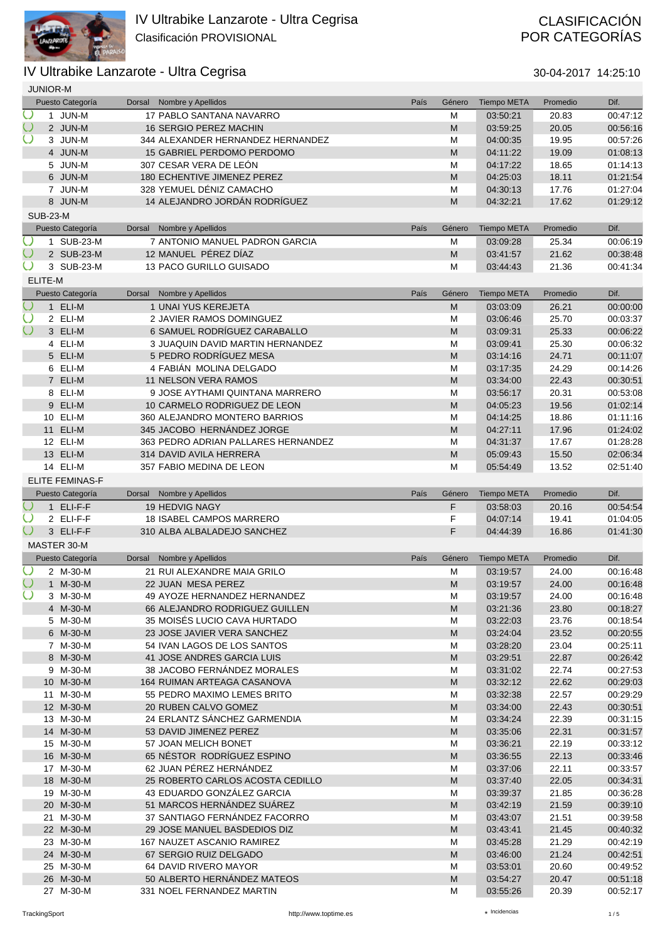

# POR CATEGORÍAS

|        | <b>JUNIOR-M</b> |                        |               |                                                          |      |                                                                                                                 |                      |                |                      |
|--------|-----------------|------------------------|---------------|----------------------------------------------------------|------|-----------------------------------------------------------------------------------------------------------------|----------------------|----------------|----------------------|
|        |                 | Puesto Categoría       | Dorsal        | Nombre y Apellidos                                       | País | Género                                                                                                          | <b>Tiempo META</b>   | Promedio       | Dif.                 |
| Ö      |                 | 1 JUN-M                |               | 17 PABLO SANTANA NAVARRO                                 |      | M                                                                                                               | 03:50:21             | 20.83          | 00:47:12             |
|        |                 | 2 JUN-M                |               | 16 SERGIO PEREZ MACHIN                                   |      | M                                                                                                               | 03:59:25             | 20.05          | 00:56:16             |
|        |                 | 3 JUN-M                |               | 344 ALEXANDER HERNANDEZ HERNANDEZ                        |      | M                                                                                                               | 04:00:35             | 19.95          | 00:57:26             |
|        |                 | 4 JUN-M                |               | 15 GABRIEL PERDOMO PERDOMO                               |      | M                                                                                                               | 04:11:22             | 19.09          | 01:08:13             |
|        |                 | 5 JUN-M                |               | 307 CESAR VERA DE LEÓN                                   |      | M                                                                                                               | 04:17:22             | 18.65          | 01:14:13             |
|        |                 | 6 JUN-M                |               | 180 ECHENTIVE JIMENEZ PEREZ                              |      | M                                                                                                               | 04:25:03             | 18.11          | 01:21:54             |
|        |                 | 7 JUN-M                |               | 328 YEMUEL DÉNIZ CAMACHO                                 |      | M                                                                                                               | 04:30:13             | 17.76          | 01:27:04             |
|        |                 | 8 JUN-M                |               | 14 ALEJANDRO JORDÁN RODRÍGUEZ                            |      | ${\sf M}$                                                                                                       | 04:32:21             | 17.62          | 01:29:12             |
|        | <b>SUB-23-M</b> |                        |               |                                                          |      |                                                                                                                 |                      |                |                      |
|        |                 | Puesto Categoría       | Dorsal        | Nombre y Apellidos                                       | País | Género                                                                                                          | <b>Tiempo META</b>   | Promedio       | Dif.                 |
| Ő      |                 | 1 SUB-23-M             |               | 7 ANTONIO MANUEL PADRON GARCIA                           |      | M                                                                                                               | 03:09:28             | 25.34          | 00:06:19             |
|        |                 | 2 SUB-23-M             |               | 12 MANUEL PÉREZ DÍAZ                                     |      | M                                                                                                               | 03:41:57             | 21.62          | 00:38:48             |
|        |                 | 3 SUB-23-M             |               | 13 PACO GURILLO GUISADO                                  |      | M                                                                                                               | 03:44:43             | 21.36          | 00:41:34             |
|        | ELITE-M         |                        |               |                                                          |      |                                                                                                                 |                      |                |                      |
|        |                 | Puesto Categoría       | Dorsal        | Nombre y Apellidos                                       | País | Género                                                                                                          | <b>Tiempo META</b>   | Promedio       | Dif.                 |
| $\cup$ |                 | 1 ELI-M                |               | 1 UNAI YUS KEREJETA                                      |      | M                                                                                                               | 03:03:09             | 26.21          | 00:00:00             |
| Ő      |                 | 2 ELI-M                |               | 2 JAVIER RAMOS DOMINGUEZ                                 |      | M                                                                                                               | 03:06:46             | 25.70          | 00:03:37             |
| $\cup$ |                 | 3 ELI-M                |               | 6 SAMUEL RODRÍGUEZ CARABALLO                             |      | M                                                                                                               | 03:09:31             | 25.33          | 00:06:22             |
|        |                 | 4 ELI-M                |               | <b>3 JUAQUIN DAVID MARTIN HERNANDEZ</b>                  |      | M                                                                                                               | 03:09:41             | 25.30          | 00:06:32             |
|        |                 | 5 ELI-M                |               | 5 PEDRO RODRÍGUEZ MESA                                   |      | M                                                                                                               | 03:14:16             | 24.71          | 00:11:07             |
|        |                 | 6 ELI-M                |               | 4 FABIÁN MOLINA DELGADO                                  |      | M                                                                                                               | 03:17:35             | 24.29          | 00:14:26             |
|        |                 | 7 ELI-M                |               | <b>11 NELSON VERA RAMOS</b>                              |      | M                                                                                                               | 03:34:00             | 22.43          | 00:30:51             |
|        |                 | 8 ELI-M                |               | 9 JOSE AYTHAMI QUINTANA MARRERO                          |      | M                                                                                                               | 03:56:17             | 20.31          | 00:53:08             |
|        |                 | 9 ELI-M                |               | 10 CARMELO RODRIGUEZ DE LEON                             |      | M                                                                                                               | 04:05:23             | 19.56          | 01:02:14             |
|        |                 | 10 ELI-M               |               | 360 ALEJANDRO MONTERO BARRIOS                            |      | M                                                                                                               | 04:14:25             | 18.86          | 01:11:16             |
|        |                 | 11 ELI-M               |               | 345 JACOBO HERNÁNDEZ JORGE                               |      | ${\sf M}$                                                                                                       | 04:27:11             | 17.96          | 01:24:02             |
|        |                 | 12 ELI-M               |               | 363 PEDRO ADRIAN PALLARES HERNANDEZ                      |      | M                                                                                                               | 04:31:37             | 17.67          | 01:28:28             |
|        |                 | 13 ELI-M               |               | 314 DAVID AVILA HERRERA                                  |      | M                                                                                                               | 05:09:43             | 15.50          | 02:06:34             |
|        |                 | 14 ELI-M               |               | 357 FABIO MEDINA DE LEON                                 |      | M                                                                                                               | 05:54:49             | 13.52          | 02:51:40             |
|        |                 | <b>ELITE FEMINAS-F</b> |               |                                                          |      |                                                                                                                 |                      |                |                      |
|        |                 |                        |               |                                                          |      |                                                                                                                 |                      |                |                      |
|        |                 | Puesto Categoría       | <b>Dorsal</b> | Nombre y Apellidos                                       | País | Género                                                                                                          | <b>Tiempo META</b>   | Promedio       | Dif.                 |
|        |                 | 1 ELI-F-F              |               | 19 HEDVIG NAGY                                           |      | F                                                                                                               | 03:58:03             | 20.16          | 00:54:54             |
|        |                 | 2 ELI-F-F              |               | <b>18 ISABEL CAMPOS MARRERO</b>                          |      | F                                                                                                               | 04:07:14             | 19.41          | 01:04:05             |
|        |                 | 3 ELI-F-F              |               | 310 ALBA ALBALADEJO SANCHEZ                              |      | F                                                                                                               | 04:44:39             | 16.86          | 01:41:30             |
|        |                 | MASTER 30-M            |               |                                                          |      |                                                                                                                 |                      |                |                      |
|        |                 | Puesto Categoría       | Dorsal        | Nombre y Apellidos                                       | País | Género                                                                                                          | <b>Tiempo META</b>   | Promedio       | Dif.                 |
| Ö      |                 | 2 M-30-M               |               | 21 RUI ALEXANDRE MAIA GRILO                              |      | M                                                                                                               | 03:19:57             | 24.00          | 00:16:48             |
| $\cup$ |                 | 1 M-30-M               |               | 22 JUAN MESA PEREZ                                       |      | M                                                                                                               | 03:19:57             | 24.00          | 00:16:48             |
|        |                 | 3 M-30-M               |               | 49 AYOZE HERNANDEZ HERNANDEZ                             |      | M                                                                                                               | 03:19:57             | 24.00          | 00:16:48             |
|        |                 | 4 M-30-M               |               | 66 ALEJANDRO RODRIGUEZ GUILLEN                           |      | M                                                                                                               | 03:21:36             | 23.80          | 00:18:27             |
|        |                 | 5 M-30-M               |               | 35 MOISÉS LUCIO CAVA HURTADO                             |      | M                                                                                                               | 03:22:03             | 23.76          | 00:18:54             |
|        |                 | 6 M-30-M               |               | 23 JOSE JAVIER VERA SANCHEZ                              |      | M                                                                                                               | 03:24:04             | 23.52          | 00:20:55             |
|        |                 | 7 M-30-M               |               | 54 IVAN LAGOS DE LOS SANTOS                              |      | M                                                                                                               | 03:28:20             | 23.04          | 00:25:11             |
|        |                 | 8 M-30-M               |               | 41 JOSE ANDRES GARCIA LUIS                               |      | M                                                                                                               | 03:29:51             | 22.87          | 00:26:42             |
|        |                 | 9 M-30-M               |               | 38 JACOBO FERNÁNDEZ MORALES                              |      | M                                                                                                               | 03:31:02             | 22.74          | 00:27:53             |
|        |                 | 10 M-30-M              |               | 164 RUIMAN ARTEAGA CASANOVA                              |      | M                                                                                                               | 03:32:12             | 22.62          | 00:29:03             |
|        |                 | 11 M-30-M              |               | 55 PEDRO MAXIMO LEMES BRITO                              |      | M                                                                                                               | 03:32:38             | 22.57          | 00:29:29             |
|        |                 | 12 M-30-M              |               | 20 RUBEN CALVO GOMEZ                                     |      | M                                                                                                               | 03:34:00             | 22.43          | 00:30:51             |
|        |                 | 13 M-30-M              |               | 24 ERLANTZ SÁNCHEZ GARMENDIA                             |      | M                                                                                                               | 03:34:24             | 22.39          | 00:31:15             |
|        |                 | 14 M-30-M<br>15 M-30-M |               | 53 DAVID JIMENEZ PEREZ<br>57 JOAN MELICH BONET           |      | ${\sf M}$                                                                                                       | 03:35:06<br>03:36:21 | 22.31<br>22.19 | 00:31:57<br>00:33:12 |
|        |                 | 16 M-30-M              |               | 65 NÉSTOR RODRÍGUEZ ESPINO                               |      | M<br>M                                                                                                          | 03:36:55             |                | 00:33:46             |
|        |                 | 17 M-30-M              |               | 62 JUAN PÉREZ HERNÁNDEZ                                  |      | M                                                                                                               | 03:37:06             | 22.13<br>22.11 | 00:33:57             |
|        |                 | 18 M-30-M              |               | 25 ROBERTO CARLOS ACOSTA CEDILLO                         |      | M                                                                                                               | 03:37:40             | 22.05          | 00:34:31             |
|        |                 | 19 M-30-M              |               | 43 EDUARDO GONZÁLEZ GARCIA                               |      | M                                                                                                               | 03:39:37             | 21.85          | 00:36:28             |
|        |                 | 20 M-30-M              |               | 51 MARCOS HERNÁNDEZ SUÁREZ                               |      | M                                                                                                               | 03:42:19             | 21.59          | 00:39:10             |
|        |                 | 21 M-30-M              |               | 37 SANTIAGO FERNÁNDEZ FACORRO                            |      | M                                                                                                               | 03:43:07             | 21.51          | 00:39:58             |
|        |                 | 22 M-30-M              |               | 29 JOSE MANUEL BASDEDIOS DIZ                             |      | M                                                                                                               | 03:43:41             | 21.45          | 00:40:32             |
|        |                 | 23 M-30-M              |               | 167 NAUZET ASCANIO RAMIREZ                               |      | M                                                                                                               | 03:45:28             | 21.29          | 00:42:19             |
|        |                 | 24 M-30-M              |               | 67 SERGIO RUIZ DELGADO                                   |      | M                                                                                                               | 03:46:00             | 21.24          | 00:42:51             |
|        |                 | 25 M-30-M              |               | 64 DAVID RIVERO MAYOR                                    |      | M                                                                                                               | 03:53:01             | 20.60          | 00:49:52             |
|        |                 | 26 M-30-M<br>27 M-30-M |               | 50 ALBERTO HERNÁNDEZ MATEOS<br>331 NOEL FERNANDEZ MARTIN |      | $\mathsf{M}% _{T}=\mathsf{M}_{T}\!\left( a,b\right) ,\ \mathsf{M}_{T}=\mathsf{M}_{T}\!\left( a,b\right) ,$<br>M | 03:54:27<br>03:55:26 | 20.47<br>20.39 | 00:51:18<br>00:52:17 |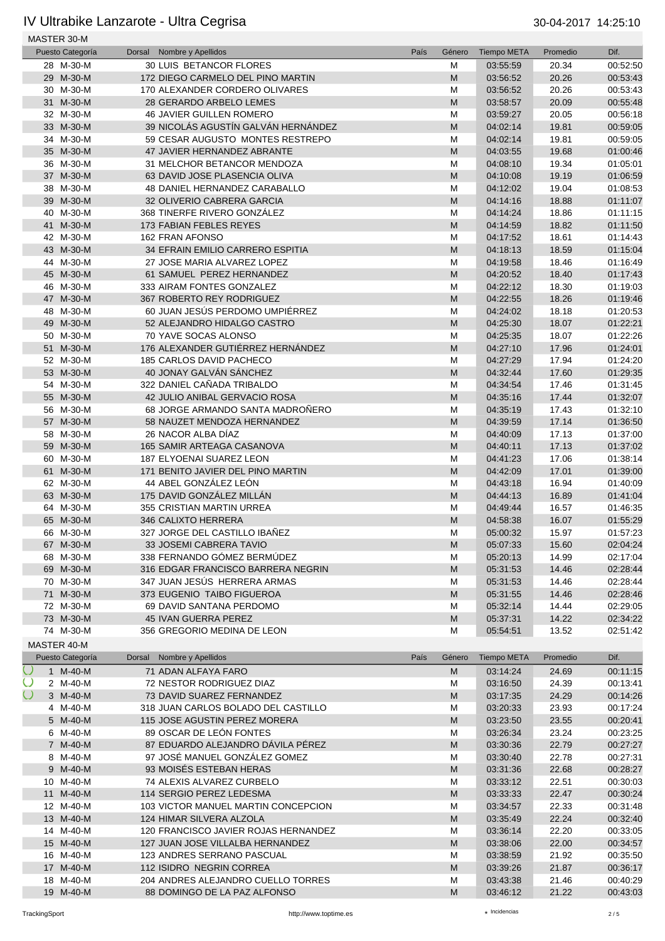|        | MASTER 30-M            |                                                              |      |                                                                                                            |                      |                |                      |
|--------|------------------------|--------------------------------------------------------------|------|------------------------------------------------------------------------------------------------------------|----------------------|----------------|----------------------|
|        | Puesto Categoría       | Nombre y Apellidos<br>Dorsal                                 | País | Género                                                                                                     | <b>Tiempo META</b>   | Promedio       | Dif.                 |
|        | 28 M-30-M              | 30 LUIS BETANCOR FLORES                                      |      | M                                                                                                          | 03:55:59             | 20.34          | 00:52:50             |
|        | 29 M-30-M              | 172 DIEGO CARMELO DEL PINO MARTIN                            |      | M                                                                                                          | 03:56:52             | 20.26          | 00:53:43             |
|        | 30 M-30-M              | 170 ALEXANDER CORDERO OLIVARES                               |      | M                                                                                                          | 03:56:52             | 20.26          | 00:53:43             |
|        | 31 M-30-M              | 28 GERARDO ARBELO LEMES                                      |      | M                                                                                                          | 03:58:57             | 20.09          | 00:55:48             |
|        | 32 M-30-M              | <b>46 JAVIER GUILLEN ROMERO</b>                              |      | M                                                                                                          | 03:59:27             | 20.05          | 00:56:18             |
|        | 33 M-30-M              | 39 NICOLÁS AGUSTÍN GALVÁN HERNÁNDEZ                          |      | ${\sf M}$                                                                                                  | 04:02:14             | 19.81          | 00:59:05             |
|        | 34 M-30-M              | 59 CESAR AUGUSTO MONTES RESTREPO                             |      | M                                                                                                          | 04:02:14             | 19.81          | 00:59:05             |
|        | 35 M-30-M<br>36 M-30-M | 47 JAVIER HERNANDEZ ABRANTE                                  |      | ${\sf M}$                                                                                                  | 04:03:55             | 19.68          | 01:00:46             |
|        | 37 M-30-M              | 31 MELCHOR BETANCOR MENDOZA<br>63 DAVID JOSE PLASENCIA OLIVA |      | M<br>M                                                                                                     | 04:08:10<br>04:10:08 | 19.34<br>19.19 | 01:05:01<br>01:06:59 |
|        | 38 M-30-M              | 48 DANIEL HERNANDEZ CARABALLO                                |      | M                                                                                                          | 04:12:02             | 19.04          | 01:08:53             |
|        | 39 M-30-M              | 32 OLIVERIO CABRERA GARCIA                                   |      | ${\sf M}$                                                                                                  | 04:14:16             | 18.88          | 01:11:07             |
|        | 40 M-30-M              | 368 TINERFE RIVERO GONZALEZ                                  |      | M                                                                                                          | 04:14:24             | 18.86          | 01:11:15             |
|        | 41 M-30-M              | 173 FABIAN FEBLES REYES                                      |      | M                                                                                                          | 04:14:59             | 18.82          | 01:11:50             |
|        | 42 M-30-M              | 162 FRAN AFONSO                                              |      | M                                                                                                          | 04:17:52             | 18.61          | 01:14:43             |
|        | 43 M-30-M              | 34 EFRAIN EMILIO CARRERO ESPITIA                             |      | M                                                                                                          | 04:18:13             | 18.59          | 01:15:04             |
|        | 44 M-30-M              | 27 JOSE MARIA ALVAREZ LOPEZ                                  |      | M                                                                                                          | 04:19:58             | 18.46          | 01:16:49             |
|        | 45 M-30-M              | 61 SAMUEL PEREZ HERNANDEZ                                    |      | ${\sf M}$                                                                                                  | 04:20:52             | 18.40          | 01:17:43             |
|        | 46 M-30-M              | 333 AIRAM FONTES GONZALEZ                                    |      | M                                                                                                          | 04:22:12             | 18.30          | 01:19:03             |
|        | 47 M-30-M              | 367 ROBERTO REY RODRIGUEZ                                    |      | ${\sf M}$                                                                                                  | 04:22:55             | 18.26          | 01:19:46             |
|        | 48 M-30-M              | 60 JUAN JESÚS PERDOMO UMPIÉRREZ                              |      | M                                                                                                          | 04:24:02             | 18.18          | 01:20:53             |
|        | 49 M-30-M              | 52 ALEJANDRO HIDALGO CASTRO                                  |      | M                                                                                                          | 04:25:30             | 18.07          | 01:22:21             |
|        | 50 M-30-M              | 70 YAVE SOCAS ALONSO                                         |      | M                                                                                                          | 04:25:35             | 18.07          | 01:22:26             |
|        | 51 M-30-M              | 176 ALEXANDER GUTIÉRREZ HERNÁNDEZ                            |      | ${\sf M}$                                                                                                  | 04:27:10             | 17.96          | 01:24:01             |
|        | 52 M-30-M              | 185 CARLOS DAVID PACHECO                                     |      | M                                                                                                          | 04:27:29             | 17.94          | 01:24:20             |
|        | 53 M-30-M              | 40 JONAY GALVÁN SÁNCHEZ                                      |      | ${\sf M}$                                                                                                  | 04:32:44             | 17.60          | 01:29:35             |
|        | 54 M-30-M              | 322 DANIEL CAÑADA TRIBALDO                                   |      | M                                                                                                          | 04:34:54             | 17.46          | 01:31:45             |
|        | 55 M-30-M              | 42 JULIO ANIBAL GERVACIO ROSA                                |      | M                                                                                                          | 04:35:16             | 17.44          | 01:32:07             |
|        | 56 M-30-M              | 68 JORGE ARMANDO SANTA MADRONERO                             |      | M                                                                                                          | 04:35:19             | 17.43          | 01:32:10             |
|        | 57 M-30-M              | 58 NAUZET MENDOZA HERNANDEZ                                  |      | ${\sf M}$                                                                                                  | 04:39:59             | 17.14          | 01:36:50             |
|        | 58 M-30-M              | 26 NACOR ALBA DIAZ                                           |      | M                                                                                                          | 04:40:09             | 17.13          | 01:37:00             |
|        | 59 M-30-M              | 165 SAMIR ARTEAGA CASANOVA                                   |      | ${\sf M}$                                                                                                  | 04:40:11             | 17.13          | 01:37:02             |
|        | 60 M-30-M              | 187 ELYOENAI SUAREZ LEON                                     |      | M                                                                                                          | 04:41:23             | 17.06          | 01:38:14             |
|        | 61 M-30-M              | 171 BENITO JAVIER DEL PINO MARTIN                            |      | M                                                                                                          | 04:42:09             | 17.01          | 01:39:00             |
|        | 62 M-30-M              | 44 ABEL GONZÁLEZ LEÓN                                        |      | M                                                                                                          | 04:43:18             | 16.94          | 01:40:09             |
|        | 63 M-30-M              | 175 DAVID GONZÁLEZ MILLÁN                                    |      | M                                                                                                          | 04:44:13             | 16.89          | 01:41:04             |
|        | 64 M-30-M              | 355 CRISTIAN MARTIN URREA                                    |      | M                                                                                                          | 04:49:44             | 16.57          | 01:46:35             |
|        | 65 M-30-M              | 346 CALIXTO HERRERA                                          |      | M                                                                                                          | 04:58:38             | 16.07          | 01:55:29             |
|        | 66 M-30-M              | 327 JORGE DEL CASTILLO IBAÑEZ                                |      | M                                                                                                          | 05:00:32             | 15.97          | 01:57:23             |
|        | 67 M-30-M              | <b>33 JOSEMI CABRERA TAVIO</b>                               |      | M                                                                                                          | 05:07:33             | 15.60          | 02:04:24             |
|        | 68 M-30-M              | 338 FERNANDO GÓMEZ BERMÚDEZ                                  |      | M                                                                                                          | 05:20:13             | 14.99          | 02:17:04             |
|        | 69 M-30-M              | 316 EDGAR FRANCISCO BARRERA NEGRIN                           |      | ${\sf M}$                                                                                                  | 05:31:53             | 14.46          | 02:28:44             |
|        | 70 M-30-M              | 347 JUAN JESUS HERRERA ARMAS                                 |      | M                                                                                                          | 05:31:53             | 14.46          | 02:28:44             |
|        | 71 M-30-M              | 373 EUGENIO TAIBO FIGUEROA                                   |      | ${\sf M}$                                                                                                  | 05:31:55             | 14.46          | 02:28:46             |
|        | 72 M-30-M              | 69 DAVID SANTANA PERDOMO                                     |      | M                                                                                                          | 05:32:14             | 14.44          | 02:29:05             |
|        | 73 M-30-M              | 45 IVAN GUERRA PEREZ                                         |      | ${\sf M}$                                                                                                  | 05:37:31             | 14.22          | 02:34:22             |
|        | 74 M-30-M              | 356 GREGORIO MEDINA DE LEON                                  |      | M                                                                                                          | 05:54:51             | 13.52          | 02:51:42             |
|        | MASTER 40-M            |                                                              |      |                                                                                                            |                      |                |                      |
|        | Puesto Categoría       | Nombre y Apellidos<br>Dorsal                                 | País | Género                                                                                                     | Tiempo META          | Promedio       | Dif.                 |
| $\cup$ | 1 M-40-M               | 71 ADAN ALFAYA FARO                                          |      | M                                                                                                          | 03:14:24             | 24.69          | 00:11:15             |
| $\cup$ | 2 M-40-M               | 72 NESTOR RODRIGUEZ DIAZ                                     |      | M                                                                                                          | 03:16:50             | 24.39          | 00:13:41             |
| $\cup$ | 3 M-40-M               | 73 DAVID SUAREZ FERNANDEZ                                    |      | M                                                                                                          | 03:17:35             | 24.29          | 00:14:26             |
|        | 4 M-40-M               | 318 JUAN CARLOS BOLADO DEL CASTILLO                          |      | M                                                                                                          | 03:20:33             | 23.93          | 00:17:24             |
|        | 5 M-40-M               | 115 JOSE AGUSTIN PEREZ MORERA                                |      | ${\sf M}$                                                                                                  | 03:23:50             | 23.55          | 00:20:41             |
|        | 6 M-40-M               | 89 OSCAR DE LEÓN FONTES                                      |      | M                                                                                                          | 03:26:34             | 23.24          | 00:23:25             |
|        | 7 M-40-M               | 87 EDUARDO ALEJANDRO DÁVILA PÉREZ                            |      | ${\sf M}$                                                                                                  | 03:30:36             | 22.79          | 00:27:27             |
|        | 8 M-40-M               | 97 JOSÉ MANUEL GONZÁLEZ GOMEZ                                |      | M                                                                                                          | 03:30:40             | 22.78          | 00:27:31             |
|        | 9 M-40-M               | 93 MOISÉS ESTEBAN HERAS                                      |      | M                                                                                                          | 03:31:36             | 22.68          | 00:28:27             |
|        | 10 M-40-M              | 74 ALEXIS ALVAREZ CURBELO                                    |      | M                                                                                                          | 03:33:12             | 22.51          | 00:30:03             |
|        | 11 M-40-M              | 114 SERGIO PEREZ LEDESMA                                     |      | $\mathsf{M}% _{T}=\mathsf{M}_{T}\!\left( a,b\right) ,\ \mathsf{M}_{T}=\mathsf{M}_{T}$                      | 03:33:33             | 22.47          | 00:30:24             |
|        | 12 M-40-M              | 103 VICTOR MANUEL MARTIN CONCEPCION                          |      | M                                                                                                          | 03:34:57             | 22.33          | 00:31:48             |
|        | 13 M-40-M              | 124 HIMAR SILVERA ALZOLA                                     |      | ${\sf M}$                                                                                                  | 03:35:49             | 22.24          | 00:32:40             |
|        | 14 M-40-M              | 120 FRANCISCO JAVIER ROJAS HERNANDEZ                         |      | M                                                                                                          | 03:36:14             | 22.20          | 00:33:05             |
|        | 15 M-40-M              | 127 JUAN JOSE VILLALBA HERNANDEZ                             |      | M                                                                                                          | 03:38:06             | 22.00          | 00:34:57             |
|        | 16 M-40-M              | 123 ANDRES SERRANO PASCUAL                                   |      | M                                                                                                          | 03:38:59             | 21.92          | 00:35:50             |
|        | 17 M-40-M              | 112 ISIDRO NEGRIN CORREA                                     |      | $\mathsf{M}% _{T}=\mathsf{M}_{T}\!\left( a,b\right) ,\ \mathsf{M}_{T}=\mathsf{M}_{T}\!\left( a,b\right) ,$ | 03:39:26             | 21.87          | 00:36:17             |
|        | 18 M-40-M              | 204 ANDRES ALEJANDRO CUELLO TORRES                           |      | M                                                                                                          | 03:43:38             | 21.46          | 00:40:29             |
|        | 19 M-40-M              | 88 DOMINGO DE LA PAZ ALFONSO                                 |      | ${\sf M}$                                                                                                  | 03:46:12             | 21.22          | 00:43:03             |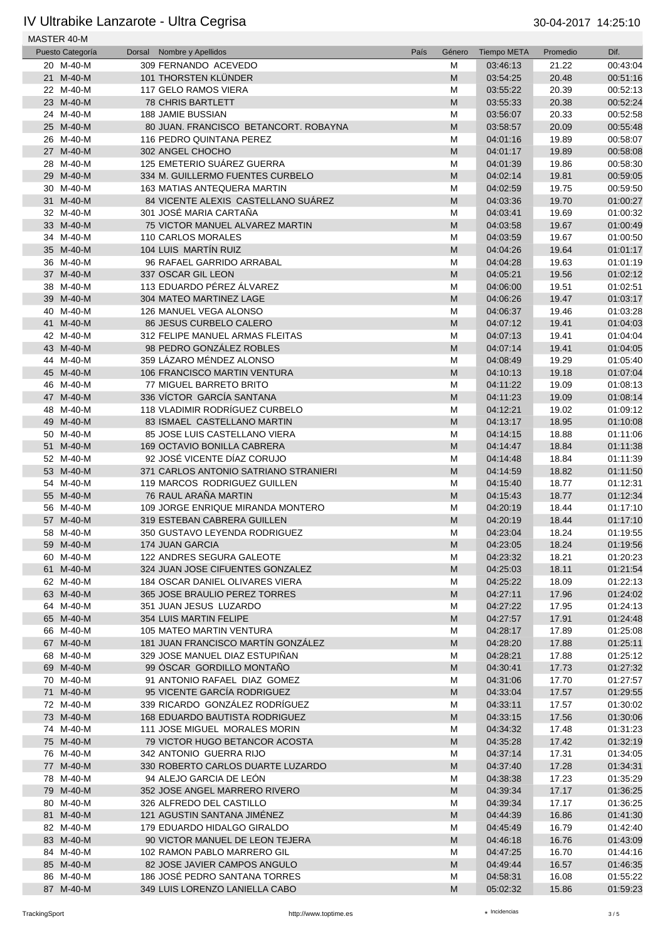| MASTER 40-M      |                                       |      |                                                                                                            |                    |          |          |
|------------------|---------------------------------------|------|------------------------------------------------------------------------------------------------------------|--------------------|----------|----------|
| Puesto Categoría | Nombre y Apellidos<br>Dorsal          | País | Género                                                                                                     | <b>Tiempo META</b> | Promedio | Dif.     |
| 20 M-40-M        | 309 FERNANDO ACEVEDO                  |      | M                                                                                                          | 03:46:13           | 21.22    | 00:43:04 |
| 21 M-40-M        | 101 THORSTEN KLÜNDER                  |      | M                                                                                                          | 03:54:25           | 20.48    | 00:51:16 |
| 22 M-40-M        | 117 GELO RAMOS VIERA                  |      | M                                                                                                          | 03:55:22           | 20.39    | 00:52:13 |
| 23 M-40-M        | <b>78 CHRIS BARTLETT</b>              |      | M                                                                                                          | 03:55:33           | 20.38    | 00:52:24 |
| 24 M-40-M        | <b>188 JAMIE BUSSIAN</b>              |      | M                                                                                                          | 03:56:07           | 20.33    | 00:52:58 |
| 25 M-40-M        | 80 JUAN. FRANCISCO BETANCORT. ROBAYNA |      | M                                                                                                          | 03:58:57           | 20.09    | 00:55:48 |
| 26 M-40-M        | 116 PEDRO QUINTANA PEREZ              |      | M                                                                                                          | 04:01:16           | 19.89    | 00:58:07 |
| 27 M-40-M        | 302 ANGEL CHOCHO                      |      | M                                                                                                          | 04:01:17           | 19.89    | 00:58:08 |
| 28 M-40-M        | 125 EMETERIO SUÁREZ GUERRA            |      | M                                                                                                          | 04:01:39           | 19.86    | 00:58:30 |
| 29 M-40-M        | 334 M. GUILLERMO FUENTES CURBELO      |      | M                                                                                                          | 04:02:14           | 19.81    | 00:59:05 |
| 30 M-40-M        | 163 MATIAS ANTEQUERA MARTIN           |      |                                                                                                            | 04:02:59           |          | 00:59:50 |
|                  |                                       |      | M                                                                                                          |                    | 19.75    |          |
| 31 M-40-M        | 84 VICENTE ALEXIS CASTELLANO SUÁREZ   |      | M                                                                                                          | 04:03:36           | 19.70    | 01:00:27 |
| 32 M-40-M        | 301 JOSÉ MARIA CARTAÑA                |      | M                                                                                                          | 04:03:41           | 19.69    | 01:00:32 |
| 33 M-40-M        | 75 VICTOR MANUEL ALVAREZ MARTIN       |      | M                                                                                                          | 04:03:58           | 19.67    | 01:00:49 |
| 34 M-40-M        | 110 CARLOS MORALES                    |      | M                                                                                                          | 04:03:59           | 19.67    | 01:00:50 |
| 35 M-40-M        | 104 LUIS MARTÍN RUIZ                  |      | M                                                                                                          | 04:04:26           | 19.64    | 01:01:17 |
| 36 M-40-M        | 96 RAFAEL GARRIDO ARRABAL             |      | M                                                                                                          | 04:04:28           | 19.63    | 01:01:19 |
| 37 M-40-M        | 337 OSCAR GIL LEON                    |      | M                                                                                                          | 04:05:21           | 19.56    | 01:02:12 |
| 38 M-40-M        | 113 EDUARDO PÉREZ ÁLVAREZ             |      | M                                                                                                          | 04:06:00           | 19.51    | 01:02:51 |
| 39 M-40-M        | 304 MATEO MARTINEZ LAGE               |      | M                                                                                                          | 04:06:26           | 19.47    | 01:03:17 |
| 40 M-40-M        | 126 MANUEL VEGA ALONSO                |      | M                                                                                                          | 04:06:37           | 19.46    | 01:03:28 |
| 41 M-40-M        | 86 JESUS CURBELO CALERO               |      | M                                                                                                          | 04:07:12           | 19.41    | 01:04:03 |
| 42 M-40-M        | 312 FELIPE MANUEL ARMAS FLEITAS       |      | M                                                                                                          | 04:07:13           | 19.41    | 01:04:04 |
| 43 M-40-M        | 98 PEDRO GONZÁLEZ ROBLES              |      | M                                                                                                          | 04:07:14           | 19.41    | 01:04:05 |
| 44 M-40-M        | 359 LÁZARO MÉNDEZ ALONSO              |      | M                                                                                                          | 04:08:49           | 19.29    | 01:05:40 |
| 45 M-40-M        | 106 FRANCISCO MARTIN VENTURA          |      | M                                                                                                          | 04:10:13           | 19.18    | 01:07:04 |
| 46 M-40-M        | 77 MIGUEL BARRETO BRITO               |      | M                                                                                                          | 04:11:22           | 19.09    | 01:08:13 |
| 47 M-40-M        | 336 VÍCTOR GARCÍA SANTANA             |      | M                                                                                                          | 04:11:23           | 19.09    | 01:08:14 |
| 48 M-40-M        | 118 VLADIMIR RODRÍGUEZ CURBELO        |      | M                                                                                                          | 04:12:21           | 19.02    | 01:09:12 |
| 49 M-40-M        | 83 ISMAEL CASTELLANO MARTIN           |      | M                                                                                                          | 04:13:17           | 18.95    | 01:10:08 |
| 50 M-40-M        | 85 JOSE LUIS CASTELLANO VIERA         |      | M                                                                                                          | 04:14:15           | 18.88    | 01:11:06 |
| 51 M-40-M        | 169 OCTAVIO BONILLA CABRERA           |      | M                                                                                                          | 04:14:47           | 18.84    | 01:11:38 |
| 52 M-40-M        | 92 JOSÉ VICENTE DÍAZ CORUJO           |      |                                                                                                            |                    |          |          |
|                  |                                       |      | M                                                                                                          | 04:14:48           | 18.84    | 01:11:39 |
| 53 M-40-M        | 371 CARLOS ANTONIO SATRIANO STRANIERI |      | M                                                                                                          | 04:14:59           | 18.82    | 01:11:50 |
| 54 M-40-M        | 119 MARCOS RODRIGUEZ GUILLEN          |      | M                                                                                                          | 04:15:40           | 18.77    | 01:12:31 |
| 55 M-40-M        | 76 RAUL ARAÑA MARTIN                  |      | M                                                                                                          | 04:15:43           | 18.77    | 01:12:34 |
| 56 M-40-M        | 109 JORGE ENRIQUE MIRANDA MONTERO     |      | M                                                                                                          | 04:20:19           | 18.44    | 01:17:10 |
| 57 M-40-M        | 319 ESTEBAN CABRERA GUILLEN           |      | M                                                                                                          | 04:20:19           | 18.44    | 01:17:10 |
| 58 M-40-M        | 350 GUSTAVO LEYENDA RODRIGUEZ         |      | M                                                                                                          | 04:23:04           | 18.24    | 01:19:55 |
| 59 M-40-M        | 174 JUAN GARCIA                       |      | M                                                                                                          | 04:23:05           | 18.24    | 01:19:56 |
| 60 M-40-M        | 122 ANDRES SEGURA GALEOTE             |      | M                                                                                                          | 04:23:32           | 18.21    | 01:20:23 |
| 61 M-40-M        | 324 JUAN JOSE CIFUENTES GONZALEZ      |      | ${\sf M}$                                                                                                  | 04:25:03           | 18.11    | 01:21:54 |
| 62 M-40-M        | 184 OSCAR DANIEL OLIVARES VIERA       |      | M                                                                                                          | 04:25:22           | 18.09    | 01:22:13 |
| 63 M-40-M        | 365 JOSE BRAULIO PEREZ TORRES         |      | M                                                                                                          | 04:27:11           | 17.96    | 01:24:02 |
| 64 M-40-M        | 351 JUAN JESUS LUZARDO                |      | M                                                                                                          | 04:27:22           | 17.95    | 01:24:13 |
| 65 M-40-M        | 354 LUIS MARTIN FELIPE                |      | ${\sf M}$                                                                                                  | 04:27:57           | 17.91    | 01:24:48 |
| 66 M-40-M        | 105 MATEO MARTIN VENTURA              |      | M                                                                                                          | 04:28:17           | 17.89    | 01:25:08 |
| 67 M-40-M        | 181 JUAN FRANCISCO MARTÍN GONZÁLEZ    |      | ${\sf M}$                                                                                                  | 04:28:20           | 17.88    | 01:25:11 |
| 68 M-40-M        | 329 JOSE MANUEL DIAZ ESTUPIÑAN        |      | M                                                                                                          | 04:28:21           | 17.88    | 01:25:12 |
| 69 M-40-M        | 99 ÓSCAR GORDILLO MONTAÑO             |      | M                                                                                                          | 04:30:41           | 17.73    | 01:27:32 |
| 70 M-40-M        | 91 ANTONIO RAFAEL DIAZ GOMEZ          |      | M                                                                                                          | 04:31:06           | 17.70    | 01:27:57 |
| 71 M-40-M        | 95 VICENTE GARCÍA RODRIGUEZ           |      | ${\sf M}$                                                                                                  | 04:33:04           | 17.57    | 01:29:55 |
|                  | 339 RICARDO GONZÁLEZ RODRÍGUEZ        |      |                                                                                                            |                    |          |          |
| 72 M-40-M        |                                       |      | M                                                                                                          | 04:33:11           | 17.57    | 01:30:02 |
| 73 M-40-M        | 168 EDUARDO BAUTISTA RODRIGUEZ        |      | ${\sf M}$                                                                                                  | 04:33:15           | 17.56    | 01:30:06 |
| 74 M-40-M        | 111 JOSE MIGUEL MORALES MORIN         |      | M                                                                                                          | 04:34:32           | 17.48    | 01:31:23 |
| 75 M-40-M        | 79 VICTOR HUGO BETANCOR ACOSTA        |      | M                                                                                                          | 04:35:28           | 17.42    | 01:32:19 |
| 76 M-40-M        | 342 ANTONIO GUERRA RIJO               |      | M                                                                                                          | 04:37:14           | 17.31    | 01:34:05 |
| 77 M-40-M        | 330 ROBERTO CARLOS DUARTE LUZARDO     |      | ${\sf M}$                                                                                                  | 04:37:40           | 17.28    | 01:34:31 |
| 78 M-40-M        | 94 ALEJO GARCIA DE LEÓN               |      | M                                                                                                          | 04:38:38           | 17.23    | 01:35:29 |
| 79 M-40-M        | 352 JOSE ANGEL MARRERO RIVERO         |      | ${\sf M}$                                                                                                  | 04:39:34           | 17.17    | 01:36:25 |
| 80 M-40-M        | 326 ALFREDO DEL CASTILLO              |      | M                                                                                                          | 04:39:34           | 17.17    | 01:36:25 |
| 81 M-40-M        | 121 AGUSTIN SANTANA JIMÉNEZ           |      | M                                                                                                          | 04:44:39           | 16.86    | 01:41:30 |
| 82 M-40-M        | 179 EDUARDO HIDALGO GIRALDO           |      | M                                                                                                          | 04:45:49           | 16.79    | 01:42:40 |
| 83 M-40-M        | 90 VICTOR MANUEL DE LEON TEJERA       |      | ${\sf M}$                                                                                                  | 04:46:18           | 16.76    | 01:43:09 |
| 84 M-40-M        | 102 RAMON PABLO MARRERO GIL           |      | M                                                                                                          | 04:47:25           | 16.70    | 01:44:16 |
| 85 M-40-M        | 82 JOSE JAVIER CAMPOS ANGULO          |      | $\mathsf{M}% _{T}=\mathsf{M}_{T}\!\left( a,b\right) ,\ \mathsf{M}_{T}=\mathsf{M}_{T}\!\left( a,b\right) ,$ | 04:49:44           | 16.57    | 01:46:35 |
| 86 M-40-M        | 186 JOSÉ PEDRO SANTANA TORRES         |      | M                                                                                                          | 04:58:31           | 16.08    | 01:55:22 |
| 87 M-40-M        | 349 LUIS LORENZO LANIELLA CABO        |      | M                                                                                                          | 05:02:32           | 15.86    | 01:59:23 |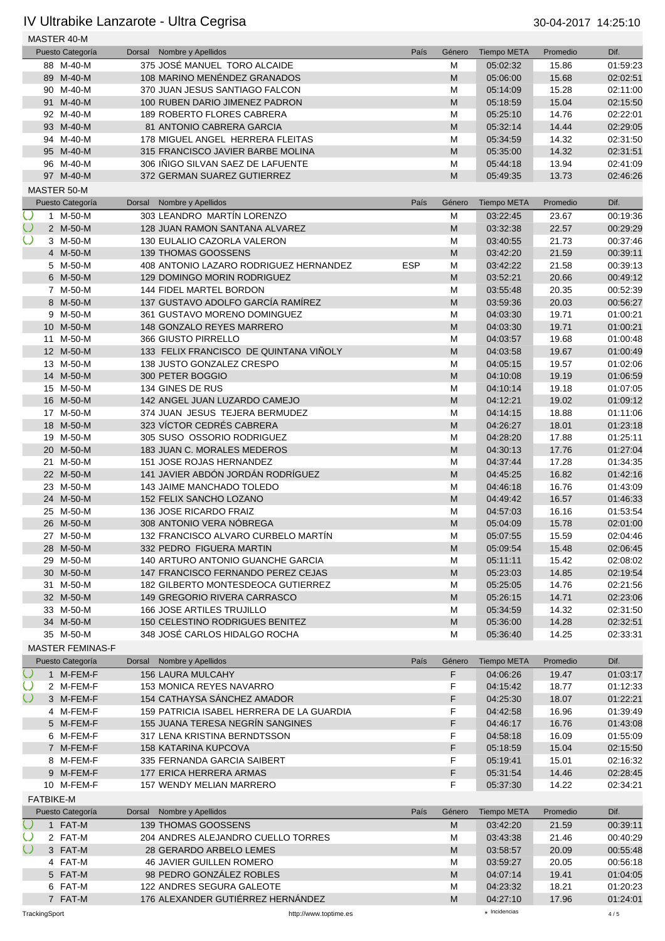|            |               | MASTER 40-M             |        |                                           |            |        |                    |          |          |
|------------|---------------|-------------------------|--------|-------------------------------------------|------------|--------|--------------------|----------|----------|
|            |               | Puesto Categoría        | Dorsal | Nombre y Apellidos                        | País       | Género | <b>Tiempo META</b> | Promedio | Dif.     |
|            |               | 88 M-40-M               |        | 375 JOSÉ MANUEL TORO ALCAIDE              |            | M      | 05:02:32           | 15.86    | 01:59:23 |
|            |               | 89 M-40-M               |        | 108 MARINO MENÉNDEZ GRANADOS              |            | M      | 05:06:00           | 15.68    | 02:02:51 |
|            |               | 90 M-40-M               |        | 370 JUAN JESUS SANTIAGO FALCON            |            | M      | 05:14:09           | 15.28    | 02:11:00 |
|            |               | 91 M-40-M               |        | 100 RUBEN DARIO JIMENEZ PADRON            |            | M      | 05:18:59           | 15.04    | 02:15:50 |
|            |               | 92 M-40-M               |        | <b>189 ROBERTO FLORES CABRERA</b>         |            | M      | 05:25:10           | 14.76    | 02:22:01 |
|            |               | 93 M-40-M               |        | 81 ANTONIO CABRERA GARCIA                 |            | M      | 05:32:14           | 14.44    | 02:29:05 |
|            |               | 94 M-40-M               |        | 178 MIGUEL ANGEL HERRERA FLEITAS          |            | M      | 05:34:59           | 14.32    | 02:31:50 |
|            |               | 95 M-40-M               |        | 315 FRANCISCO JAVIER BARBE MOLINA         |            | M      | 05:35:00           | 14.32    | 02:31:51 |
|            |               | 96 M-40-M               |        | 306 INIGO SILVAN SAEZ DE LAFUENTE         |            | M      | 05:44:18           | 13.94    | 02:41:09 |
|            |               | 97 M-40-M               |        | 372 GERMAN SUAREZ GUTIERREZ               |            | M      | 05:49:35           | 13.73    | 02:46:26 |
|            |               | MASTER 50-M             |        |                                           |            |        |                    |          |          |
|            |               | Puesto Categoría        | Dorsal | Nombre y Apellidos                        | País       | Género | <b>Tiempo META</b> | Promedio | Dif.     |
| $\cup$     |               | 1 M-50-M                |        | 303 LEANDRO MARTÍN LORENZO                |            | M      | 03:22:45           | 23.67    | 00:19:36 |
| $\cup$     |               | 2 M-50-M                |        |                                           |            |        |                    |          |          |
|            |               |                         |        | 128 JUAN RAMON SANTANA ALVAREZ            |            | M      | 03:32:38           | 22.57    | 00:29:29 |
|            |               | 3 M-50-M                |        | 130 EULALIO CAZORLA VALERON               |            | M      | 03:40:55           | 21.73    | 00:37:46 |
|            |               | 4 M-50-M                |        | 139 THOMAS GOOSSENS                       |            | M      | 03:42:20           | 21.59    | 00:39:11 |
|            |               | 5 M-50-M                |        | 408 ANTONIO LAZARO RODRIGUEZ HERNANDEZ    | <b>ESP</b> | M      | 03:42:22           | 21.58    | 00:39:13 |
|            |               | 6 M-50-M                |        | 129 DOMINGO MORIN RODRIGUEZ               |            | M      | 03:52:21           | 20.66    | 00:49:12 |
|            |               | 7 M-50-M                |        | 144 FIDEL MARTEL BORDON                   |            | M      | 03:55:48           | 20.35    | 00:52:39 |
|            |               | 8 M-50-M                |        | 137 GUSTAVO ADOLFO GARCÍA RAMÍREZ         |            | M      | 03:59:36           | 20.03    | 00:56:27 |
|            |               | 9 M-50-M                |        | 361 GUSTAVO MORENO DOMINGUEZ              |            | M      | 04:03:30           | 19.71    | 01:00:21 |
|            |               | 10 M-50-M               |        | 148 GONZALO REYES MARRERO                 |            | M      | 04:03:30           | 19.71    | 01:00:21 |
|            |               | 11 M-50-M               |        | 366 GIUSTO PIRRELLO                       |            | M      | 04:03:57           | 19.68    | 01:00:48 |
|            |               | 12 M-50-M               |        | 133 FELIX FRANCISCO DE QUINTANA VIÑOLY    |            | M      | 04:03:58           | 19.67    | 01:00:49 |
|            |               | 13 M-50-M               |        | 138 JUSTO GONZALEZ CRESPO                 |            | M      | 04:05:15           | 19.57    | 01:02:06 |
|            |               | 14 M-50-M               |        | 300 PETER BOGGIO                          |            | M      | 04:10:08           | 19.19    | 01:06:59 |
|            |               | 15 M-50-M               |        | 134 GINES DE RUS                          |            | M      | 04:10:14           | 19.18    | 01:07:05 |
|            |               | 16 M-50-M               |        | 142 ANGEL JUAN LUZARDO CAMEJO             |            | M      | 04:12:21           | 19.02    | 01:09:12 |
|            |               | 17 M-50-M               |        | 374 JUAN JESUS TEJERA BERMUDEZ            |            | M      | 04:14:15           | 18.88    | 01:11:06 |
|            |               | 18 M-50-M               |        | 323 VÍCTOR CEDRÉS CABRERA                 |            | M      | 04:26:27           | 18.01    | 01:23:18 |
|            |               | 19 M-50-M               |        | 305 SUSO OSSORIO RODRIGUEZ                |            | M      | 04:28:20           | 17.88    | 01:25:11 |
|            |               | 20 M-50-M               |        | 183 JUAN C. MORALES MEDEROS               |            | M      | 04:30:13           | 17.76    | 01:27:04 |
|            |               | 21 M-50-M               |        | 151 JOSE ROJAS HERNANDEZ                  |            | M      | 04:37:44           | 17.28    | 01:34:35 |
|            |               | 22 M-50-M               |        | 141 JAVIER ABDÓN JORDÁN RODRÍGUEZ         |            | M      | 04:45:25           | 16.82    | 01:42:16 |
|            |               | 23 M-50-M               |        | 143 JAIME MANCHADO TOLEDO                 |            | M      |                    | 16.76    | 01:43:09 |
|            |               |                         |        |                                           |            |        | 04:46:18           |          |          |
|            |               | 24 M-50-M               |        | 152 FELIX SANCHO LOZANO                   |            | M      | 04:49:42           | 16.57    | 01:46:33 |
|            |               | 25 M-50-M               |        | 136 JOSE RICARDO FRAIZ                    |            | M      | 04:57:03           | 16.16    | 01:53:54 |
|            |               | 26 M-50-M               |        | 308 ANTONIO VERA NÓBREGA                  |            | M      | 05:04:09           | 15.78    | 02:01:00 |
|            |               | 27 M-50-M               |        | 132 FRANCISCO ALVARO CURBELO MARTÍN       |            | M      | 05:07:55           | 15.59    | 02:04:46 |
|            |               | 28 M-50-M               |        | 332 PEDRO FIGUERA MARTIN                  |            | M      | 05:09:54           | 15.48    | 02:06:45 |
|            |               | 29 M-50-M               |        | 140 ARTURO ANTONIO GUANCHE GARCIA         |            | M      | 05:11:11           | 15.42    | 02:08:02 |
|            |               | 30 M-50-M               |        | 147 FRANCISCO FERNANDO PEREZ CEJAS        |            | M      | 05:23:03           | 14.85    | 02:19:54 |
|            |               | 31 M-50-M               |        | 182 GILBERTO MONTESDEOCA GUTIERREZ        |            | M      | 05:25:05           | 14.76    | 02:21:56 |
|            |               | 32 M-50-M               |        | 149 GREGORIO RIVERA CARRASCO              |            | M      | 05:26:15           | 14.71    | 02:23:06 |
|            |               | 33 M-50-M               |        | <b>166 JOSE ARTILES TRUJILLO</b>          |            | M      | 05:34:59           | 14.32    | 02:31:50 |
|            |               | 34 M-50-M               |        | 150 CELESTINO RODRIGUES BENITEZ           |            | M      | 05:36:00           | 14.28    | 02:32:51 |
|            |               | 35 M-50-M               |        | 348 JOSÉ CARLOS HIDALGO ROCHA             |            | M      | 05:36:40           | 14.25    | 02:33:31 |
|            |               | <b>MASTER FEMINAS-F</b> |        |                                           |            |        |                    |          |          |
|            |               | Puesto Categoría        | Dorsal | Nombre y Apellidos                        | País       | Género | <b>Tiempo META</b> | Promedio | Dif.     |
| $\bigcirc$ |               | 1 M-FEM-F               |        | <b>156 LAURA MULCAHY</b>                  |            | F      | 04:06:26           | 19.47    | 01:03:17 |
| $\cup$     |               | 2 M-FEM-F               |        | 153 MONICA REYES NAVARRO                  |            | F      | 04:15:42           | 18.77    | 01:12:33 |
| $\cup$     |               | 3 M-FEM-F               |        | 154 CATHAYSA SÁNCHEZ AMADOR               |            | F      | 04:25:30           | 18.07    | 01:22:21 |
|            |               | 4 M-FEM-F               |        | 159 PATRICIA ISABEL HERRERA DE LA GUARDIA |            | F      | 04:42:58           | 16.96    | 01:39:49 |
|            |               | 5 M-FEM-F               |        | 155 JUANA TERESA NEGRIN SANGINES          |            | F      | 04:46:17           | 16.76    | 01:43:08 |
|            |               | 6 M-FEM-F               |        | 317 LENA KRISTINA BERNDTSSON              |            | F      | 04:58:18           | 16.09    | 01:55:09 |
|            |               |                         |        |                                           |            |        |                    |          |          |
|            |               | 7 M-FEM-F               |        | <b>158 KATARINA KUPCOVA</b>               |            | F      | 05:18:59           | 15.04    | 02:15:50 |
|            |               | 8 M-FEM-F               |        | 335 FERNANDA GARCIA SAIBERT               |            | F      | 05:19:41           | 15.01    | 02:16:32 |
|            |               | 9 M-FEM-F               |        | 177 ERICA HERRERA ARMAS                   |            | F      | 05:31:54           | 14.46    | 02:28:45 |
|            |               | 10 M-FEM-F              |        | <b>157 WENDY MELIAN MARRERO</b>           |            | F      | 05:37:30           | 14.22    | 02:34:21 |
|            |               | <b>FATBIKE-M</b>        |        |                                           |            |        |                    |          |          |
|            |               | Puesto Categoría        | Dorsal | Nombre y Apellidos                        | País       | Género | <b>Tiempo META</b> | Promedio | Dif.     |
| Ô          |               | 1 FAT-M                 |        | 139 THOMAS GOOSSENS                       |            | M      | 03:42:20           | 21.59    | 00:39:11 |
| $\cup$     |               | 2 FAT-M                 |        | 204 ANDRES ALEJANDRO CUELLO TORRES        |            | M      | 03:43:38           | 21.46    | 00:40:29 |
|            |               | 3 FAT-M                 |        | 28 GERARDO ARBELO LEMES                   |            | M      | 03:58:57           | 20.09    | 00:55:48 |
|            |               | 4 FAT-M                 |        | <b>46 JAVIER GUILLEN ROMERO</b>           |            | M      | 03:59:27           | 20.05    | 00:56:18 |
|            |               | 5 FAT-M                 |        | 98 PEDRO GONZÁLEZ ROBLES                  |            | M      | 04:07:14           | 19.41    | 01:04:05 |
|            |               | 6 FAT-M                 |        | 122 ANDRES SEGURA GALEOTE                 |            | M      | 04:23:32           | 18.21    | 01:20:23 |
|            |               | 7 FAT-M                 |        | 176 ALEXANDER GUTIÉRREZ HERNÁNDEZ         |            | M      | 04:27:10           | 17.96    | 01:24:01 |
|            | TrackingSport |                         |        | http://www.toptime.es                     |            |        | * Incidencias      |          | 4/5      |